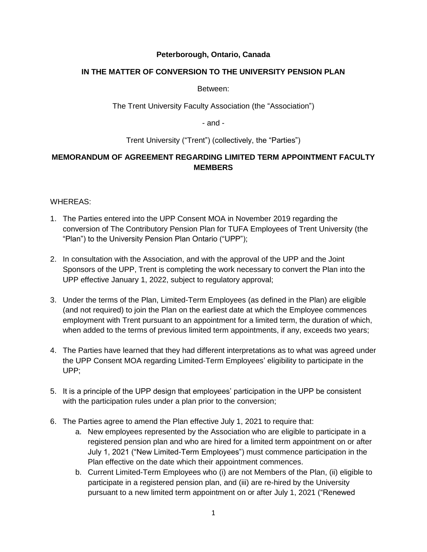## **Peterborough, Ontario, Canada**

## **IN THE MATTER OF CONVERSION TO THE UNIVERSITY PENSION PLAN**

Between:

The Trent University Faculty Association (the "Association")

- and -

Trent University ("Trent") (collectively, the "Parties")

## **MEMORANDUM OF AGREEMENT REGARDING LIMITED TERM APPOINTMENT FACULTY MEMBERS**

## WHEREAS:

- 1. The Parties entered into the UPP Consent MOA in November 2019 regarding the conversion of The Contributory Pension Plan for TUFA Employees of Trent University (the "Plan") to the University Pension Plan Ontario ("UPP");
- 2. In consultation with the Association, and with the approval of the UPP and the Joint Sponsors of the UPP, Trent is completing the work necessary to convert the Plan into the UPP effective January 1, 2022, subject to regulatory approval;
- 3. Under the terms of the Plan, Limited-Term Employees (as defined in the Plan) are eligible (and not required) to join the Plan on the earliest date at which the Employee commences employment with Trent pursuant to an appointment for a limited term, the duration of which, when added to the terms of previous limited term appointments, if any, exceeds two years;
- 4. The Parties have learned that they had different interpretations as to what was agreed under the UPP Consent MOA regarding Limited-Term Employees' eligibility to participate in the UPP;
- 5. It is a principle of the UPP design that employees' participation in the UPP be consistent with the participation rules under a plan prior to the conversion;
- 6. The Parties agree to amend the Plan effective July 1, 2021 to require that:
	- a. New employees represented by the Association who are eligible to participate in a registered pension plan and who are hired for a limited term appointment on or after July 1, 2021 ("New Limited-Term Employees") must commence participation in the Plan effective on the date which their appointment commences.
	- b. Current Limited-Term Employees who (i) are not Members of the Plan, (ii) eligible to participate in a registered pension plan, and (iii) are re-hired by the University pursuant to a new limited term appointment on or after July 1, 2021 ("Renewed